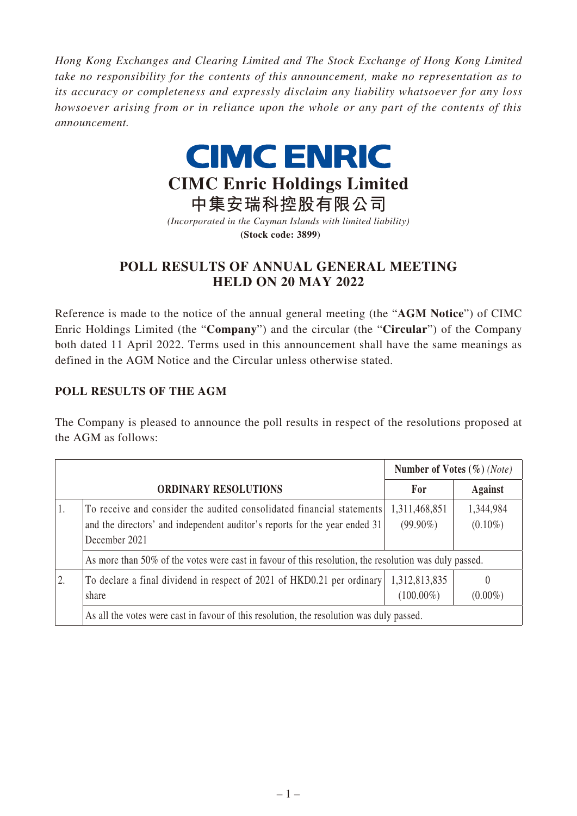*Hong Kong Exchanges and Clearing Limited and The Stock Exchange of Hong Kong Limited take no responsibility for the contents of this announcement, make no representation as to its accuracy or completeness and expressly disclaim any liability whatsoever for any loss howsoever arising from or in reliance upon the whole or any part of the contents of this announcement.*



## **CIMC Enric Holdings Limited**

**中集安瑞科控股有限公司** *(Incorporated in the Cayman Islands with limited liability)* **(Stock code: 3899)**

## **POLL RESULTS OF ANNUAL GENERAL MEETING HELD ON 20 MAY 2022**

Reference is made to the notice of the annual general meeting (the "**AGM Notice**") of CIMC Enric Holdings Limited (the "**Company**") and the circular (the "**Circular**") of the Company both dated 11 April 2022. Terms used in this announcement shall have the same meanings as defined in the AGM Notice and the Circular unless otherwise stated.

## **POLL RESULTS OF THE AGM**

The Company is pleased to announce the poll results in respect of the resolutions proposed at the AGM as follows:

|    |                                                                                                                                                                      | Number of Votes $(\%)$ (Note) |                         |  |
|----|----------------------------------------------------------------------------------------------------------------------------------------------------------------------|-------------------------------|-------------------------|--|
|    | <b>ORDINARY RESOLUTIONS</b>                                                                                                                                          | For                           | <b>Against</b>          |  |
| Ι. | To receive and consider the audited consolidated financial statements<br>and the directors' and independent auditor's reports for the year ended 31<br>December 2021 | 1,311,468,851<br>$(99.90\%)$  | 1,344,984<br>$(0.10\%)$ |  |
|    | As more than 50% of the votes were cast in favour of this resolution, the resolution was duly passed.                                                                |                               |                         |  |
| 2. | To declare a final dividend in respect of 2021 of HKD0.21 per ordinary<br>share                                                                                      | 1,312,813,835<br>$(100.00\%)$ | $\theta$<br>$(0.00\%)$  |  |
|    | As all the votes were cast in favour of this resolution, the resolution was duly passed.                                                                             |                               |                         |  |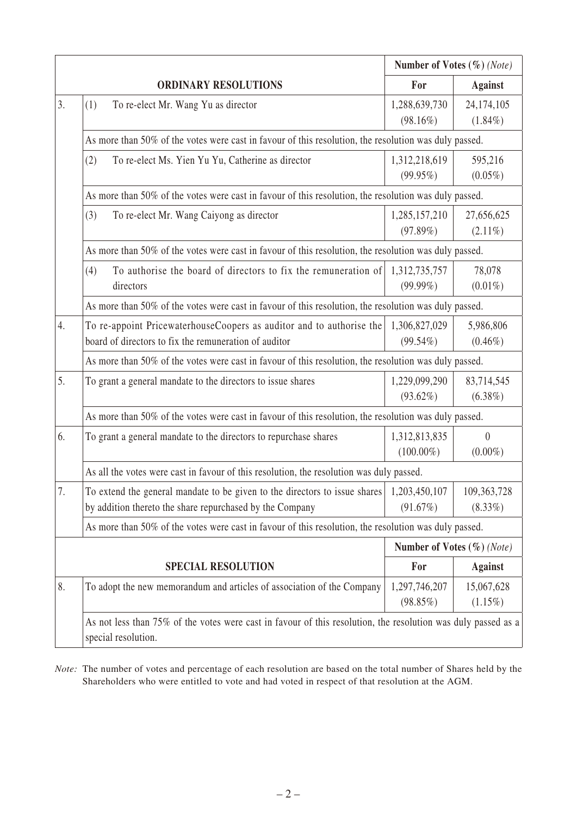|    |                                                                                                               | Number of Votes $(\%)$ (Note) |                  |  |  |
|----|---------------------------------------------------------------------------------------------------------------|-------------------------------|------------------|--|--|
|    | <b>ORDINARY RESOLUTIONS</b>                                                                                   | For                           | <b>Against</b>   |  |  |
| 3. | To re-elect Mr. Wang Yu as director<br>(1)                                                                    | 1,288,639,730                 | 24,174,105       |  |  |
|    |                                                                                                               | $(98.16\%)$                   | $(1.84\%)$       |  |  |
|    | As more than 50% of the votes were cast in favour of this resolution, the resolution was duly passed.         |                               |                  |  |  |
|    | (2)<br>To re-elect Ms. Yien Yu Yu, Catherine as director                                                      | 1,312,218,619                 | 595,216          |  |  |
|    |                                                                                                               | (99.95%)                      | $(0.05\%)$       |  |  |
|    | As more than 50% of the votes were cast in favour of this resolution, the resolution was duly passed.         |                               |                  |  |  |
|    | (3)<br>To re-elect Mr. Wang Caiyong as director                                                               | 1,285,157,210                 | 27,656,625       |  |  |
|    |                                                                                                               | (97.89%)                      | $(2.11\%)$       |  |  |
|    | As more than 50% of the votes were cast in favour of this resolution, the resolution was duly passed.         |                               |                  |  |  |
|    | To authorise the board of directors to fix the remuneration of<br>(4)                                         | 1,312,735,757                 | 78,078           |  |  |
|    | directors                                                                                                     | $(99.99\%)$                   | $(0.01\%)$       |  |  |
|    | As more than 50% of the votes were cast in favour of this resolution, the resolution was duly passed.         |                               |                  |  |  |
| 4. | To re-appoint PricewaterhouseCoopers as auditor and to authorise the                                          | 1,306,827,029                 | 5,986,806        |  |  |
|    | board of directors to fix the remuneration of auditor                                                         | $(99.54\%)$                   | $(0.46\%)$       |  |  |
|    | As more than 50% of the votes were cast in favour of this resolution, the resolution was duly passed.         |                               |                  |  |  |
| 5. | To grant a general mandate to the directors to issue shares                                                   | 1,229,099,290                 | 83,714,545       |  |  |
|    |                                                                                                               | $(93.62\%)$                   | $(6.38\%)$       |  |  |
|    | As more than 50% of the votes were cast in favour of this resolution, the resolution was duly passed.         |                               |                  |  |  |
| 6. | To grant a general mandate to the directors to repurchase shares                                              | 1,312,813,835                 | $\boldsymbol{0}$ |  |  |
|    |                                                                                                               | $(100.00\%)$                  | $(0.00\%)$       |  |  |
|    | As all the votes were cast in favour of this resolution, the resolution was duly passed.                      |                               |                  |  |  |
| 7. | To extend the general mandate to be given to the directors to issue shares                                    | 1,203,450,107                 | 109,363,728      |  |  |
|    | by addition thereto the share repurchased by the Company                                                      | (91.67%)                      | $(8.33\%)$       |  |  |
|    | As more than 50% of the votes were cast in favour of this resolution, the resolution was duly passed.         |                               |                  |  |  |
|    |                                                                                                               | Number of Votes $(\%)$ (Note) |                  |  |  |
|    | <b>SPECIAL RESOLUTION</b>                                                                                     | For                           | <b>Against</b>   |  |  |
| 8. | To adopt the new memorandum and articles of association of the Company                                        | 1,297,746,207                 | 15,067,628       |  |  |
|    |                                                                                                               | (98.85%)                      | $(1.15\%)$       |  |  |
|    | As not less than 75% of the votes were cast in favour of this resolution, the resolution was duly passed as a |                               |                  |  |  |
|    | special resolution.                                                                                           |                               |                  |  |  |

*Note:* The number of votes and percentage of each resolution are based on the total number of Shares held by the Shareholders who were entitled to vote and had voted in respect of that resolution at the AGM.